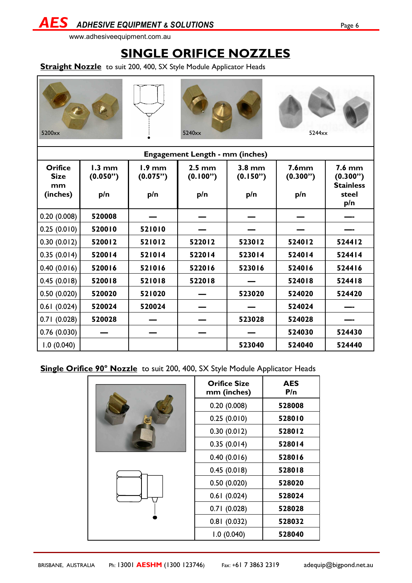### **SINGLE ORIFICE NOZZLES**

**Straight Nozzle** to suit 200, 400, SX Style Module Applicator Heads







| <b>Engagement Length - mm (inches)</b>          |                                     |                             |                                     |                             |                                      |                                                                  |  |
|-------------------------------------------------|-------------------------------------|-----------------------------|-------------------------------------|-----------------------------|--------------------------------------|------------------------------------------------------------------|--|
| <b>Orifice</b><br><b>Size</b><br>mm<br>(inches) | $1.3 \text{ mm}$<br>(0.050")<br>p/n | $1.9$ mm<br>(0.075")<br>p/n | $2.5 \text{ mm}$<br>(0.100")<br>p/n | $3.8$ mm<br>(0.150")<br>p/n | 7.6 <sub>mm</sub><br>(0.300")<br>p/n | $7.6 \text{ mm}$<br>(0.300")<br><b>Stainless</b><br>steel<br>p/n |  |
| 0.20(0.008)                                     | 520008                              |                             |                                     |                             |                                      |                                                                  |  |
| 0.25(0.010)                                     | 520010                              | 521010                      |                                     |                             |                                      |                                                                  |  |
| 0.30(0.012)                                     | 520012                              | 521012                      | 522012                              | 523012                      | 524012                               | 524412                                                           |  |
| 0.35(0.014)                                     | 520014                              | 521014                      | 522014                              | 523014                      | 524014                               | 524414                                                           |  |
| 0.40(0.016)                                     | 520016                              | 521016                      | 522016                              | 523016                      | 524016                               | 524416                                                           |  |
| 0.45(0.018)                                     | 520018                              | 521018                      | 522018                              |                             | 524018                               | 524418                                                           |  |
| 0.50(0.020)                                     | 520020                              | 521020                      |                                     | 523020                      | 524020                               | 524420                                                           |  |
| 0.61(0.024)                                     | 520024                              | 520024                      |                                     |                             | 524024                               |                                                                  |  |
| 0.71(0.028)                                     | 520028                              |                             |                                     | 523028                      | 524028                               |                                                                  |  |
| 0.76(0.030)                                     |                                     |                             |                                     |                             | 524030                               | 524430                                                           |  |
| 1.0(0.040)                                      |                                     |                             |                                     | 523040                      | 524040                               | 524440                                                           |  |

**Single Orifice 90° Nozzle** to suit 200, 400, SX Style Module Applicator Heads

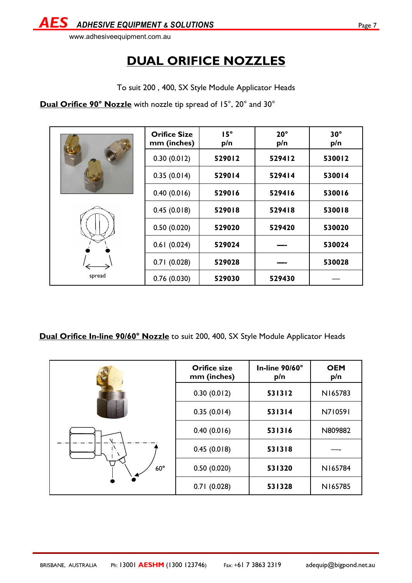

# **DUAL ORIFICE NOZZLES**

To suit 200 , 400, SX Style Module Applicator Heads

**Dual Orifice 90° Nozzle** with nozzle tip spread of 15°, 20° and 30°

|        | <b>Orifice Size</b><br>mm (inches) | $15^\circ$<br>p/n | $20^{\circ}$<br>p/n | $30^\circ$<br>p/n |
|--------|------------------------------------|-------------------|---------------------|-------------------|
|        | 0.30(0.012)                        | 529012            | 529412              | 530012            |
|        | 0.35(0.014)                        | 529014            | 529414              | 530014            |
|        | 0.40(0.016)                        | 529016            | 529416              | 530016            |
|        | 0.45(0.018)                        | 529018            | 529418              | 530018            |
|        | 0.50(0.020)                        | 529020            | 529420              | 530020            |
|        | 0.61(0.024)                        | 529024            |                     | 530024            |
|        | 0.71(0.028)                        | 529028            |                     | 530028            |
| spread | 0.76(0.030)                        | 529030            | 529430              |                   |

**Dual Orifice In-line 90/60° Nozzle** to suit 200, 400, SX Style Module Applicator Heads

|            | <b>Orifice size</b><br>mm (inches) | In-line 90/60°<br>p/n | <b>OEM</b><br>p/n |
|------------|------------------------------------|-----------------------|-------------------|
| $60^\circ$ | 0.30(0.012)                        | 531312                | N165783           |
|            | 0.35(0.014)                        | 531314                | N710591           |
|            | 0.40(0.016)                        | 531316                | N809882           |
|            | 0.45(0.018)                        | 531318                |                   |
|            | 0.50(0.020)                        | 531320                | N165784           |
|            | 0.71(0.028)                        | 531328                | N165785           |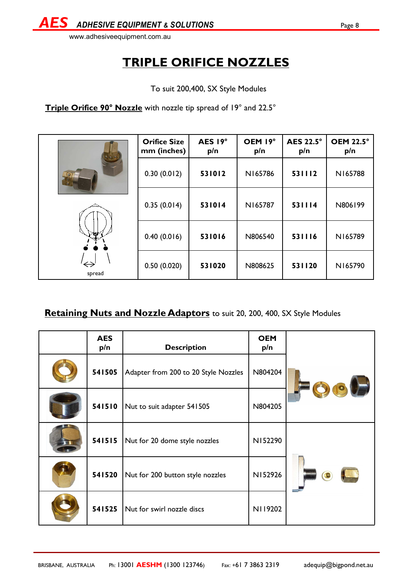

To suit 200,400, SX Style Modules

Triple Orifice 90° Nozzle with nozzle tip spread of 19° and 22.5°

| $\circ$                     | <b>Orifice Size</b><br>mm (inches) | AES 19°<br>p/n | OEM 19°<br>p/n | <b>AES 22.5°</b><br>p/n | <b>OEM 22.5°</b><br>p/n |
|-----------------------------|------------------------------------|----------------|----------------|-------------------------|-------------------------|
|                             | 0.30(0.012)                        | 531012         | N165786        | 531112                  | N165788                 |
|                             | 0.35(0.014)                        | 531014         | N165787        | 531114                  | N806199                 |
| гφ                          | 0.40(0.016)                        | 531016         | N806540        | 531116                  | N165789                 |
| $\leftrightarrow$<br>spread | 0.50(0.020)                        | 531020         | N808625        | 531120                  | N165790                 |

#### **Retaining Nuts and Nozzle Adaptors** to suit 20, 200, 400, SX Style Modules

| <b>AES</b><br>p/n | <b>Description</b>                   | <b>OEM</b><br>p/n |  |
|-------------------|--------------------------------------|-------------------|--|
| 541505            | Adapter from 200 to 20 Style Nozzles | N804204           |  |
| 541510            | Nut to suit adapter 541505           | N804205           |  |
| 541515            | Nut for 20 dome style nozzles        | N152290           |  |
| 541520            | Nut for 200 button style nozzles     | N152926           |  |
| 541525            | Nut for swirl nozzle discs           | N119202           |  |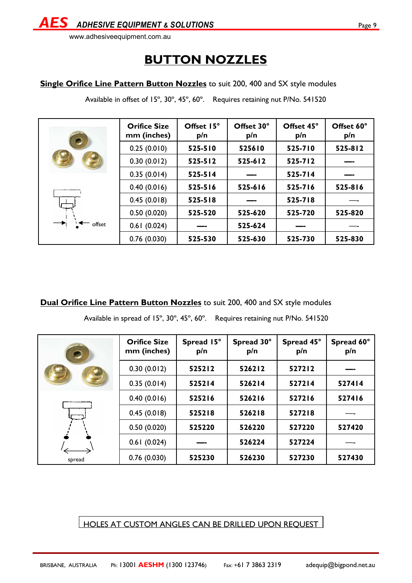www.adhesiveequipment.com.au

# **BUTTON NOZZLES**

#### **Single Orifice Line Pattern Button Nozzles** to suit 200, 400 and SX style modules

Available in offset of 15°, 30°, 45°, 60°. Requires retaining nut P/No. 541520

|              | <b>Orifice Size</b><br>mm (inches) | Offset 15°<br>p/n | Offset 30°<br>p/n | Offset 45°<br>p/n | Offset 60°<br>p/n |
|--------------|------------------------------------|-------------------|-------------------|-------------------|-------------------|
|              | 0.25(0.010)                        | 525-510           | 525610            | 525-710           | 525-812           |
|              | 0.30(0.012)                        | $525 - 512$       | 525-612           | $525 - 712$       |                   |
|              | 0.35(0.014)                        | $525 - 514$       |                   | $525 - 714$       |                   |
| ست<br>offset | 0.40(0.016)                        | 525-516           | 525-616           | 525-716           | 525-816           |
|              | 0.45(0.018)                        | 525-518           |                   | 525-718           |                   |
|              | 0.50(0.020)                        | 525-520           | 525-620           | 525-720           | 525-820           |
|              | 0.61(0.024)                        |                   | 525-624           |                   |                   |
|              | 0.76(0.030)                        | 525-530           | 525-630           | 525-730           | 525-830           |

**Dual Orifice Line Pattern Button Nozzles** to suit 200, 400 and SX style modules

Available in spread of 15º, 30º, 45º, 60º. Requires retaining nut P/No. 541520

|        | <b>Orifice Size</b><br>mm (inches) | Spread 15°<br>p/n | Spread 30°<br>p/n | Spread 45°<br>p/n | Spread 60°<br>p/n |
|--------|------------------------------------|-------------------|-------------------|-------------------|-------------------|
|        | 0.30(0.012)                        | 525212            | 526212            | 527212            |                   |
|        | 0.35(0.014)                        | 525214            | 526214            | 527214            | 527414            |
|        | 0.40(0.016)                        | 525216            | 526216            | 527216            | 527416            |
|        | 0.45(0.018)                        | 525218            | 526218            | 527218            |                   |
|        | 0.50(0.020)                        | 525220            | 526220            | 527220            | 527420            |
|        | 0.61(0.024)                        |                   | 526224            | 527224            |                   |
| spread | 0.76(0.030)                        | 525230            | 526230            | 527230            | 527430            |

HOLES AT CUSTOM ANGLES CAN BE DRILLED UPON REQUEST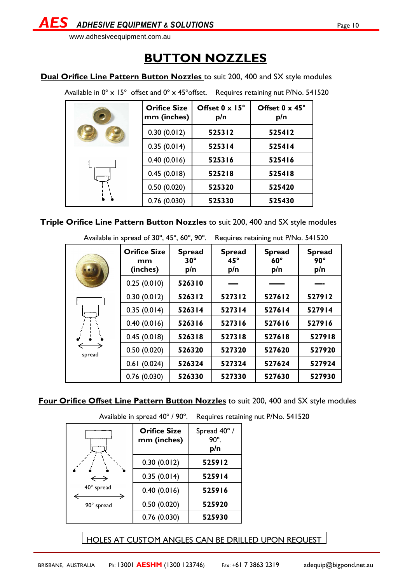**ADHESIVE EQUIPMENT & SOLUTIONS Page 10** 

www.adhesiveequipment.com.au

### **BUTTON NOZZLES**

**Dual Orifice Line Pattern Button Nozzles** to suit 200, 400 and SX style modules

Available in  $0^\circ \times 15^\circ$  offset and  $0^\circ \times 45^\circ$ offset. Requires retaining nut P/No. 541520

| <b>Orifice Size</b><br>mm (inches) | Offset $0 \times 15^\circ$<br>p/n | Offset 0 x 45°<br>p/n |
|------------------------------------|-----------------------------------|-----------------------|
| 0.30(0.012)                        | 525312                            | 525412                |
| 0.35(0.014)                        | 525314                            | 525414                |
| 0.40(0.016)                        | 525316                            | 525416                |
| 0.45(0.018)                        | 525218                            | 525418                |
| 0.50(0.020)                        | 525320                            | 525420                |
| 0.76(0.030)                        | 525330                            | 525430                |

**Triple Orifice Line Pattern Button Nozzles** to suit 200, 400 and SX style modules

|        | Available in spread of 30°, 45°, 60°, 90°. |                                    | Requires retaining nut P/No. 541520  |                                    |                                    |
|--------|--------------------------------------------|------------------------------------|--------------------------------------|------------------------------------|------------------------------------|
|        | <b>Orifice Size</b><br>mm<br>(inches)      | <b>Spread</b><br>$30^\circ$<br>p/n | <b>Spread</b><br>$45^{\circ}$<br>p/n | <b>Spread</b><br>$60^\circ$<br>p/n | <b>Spread</b><br>$90^\circ$<br>p/n |
|        | 0.25(0.010)                                | 526310                             |                                      |                                    |                                    |
|        | 0.30(0.012)                                | 526312                             | 527312                               | 527612                             | 527912                             |
|        | 0.35(0.014)                                | 526314                             | 527314                               | 527614                             | 527914                             |
|        | 0.40(0.016)                                | 526316                             | 527316                               | 527616                             | 527916                             |
|        | 0.45(0.018)                                | 526318                             | 527318                               | 527618                             | 527918                             |
| spread | 0.50(0.020)                                | 526320                             | 527320                               | 527620                             | 527920                             |
|        | 0.61(0.024)                                | 526324                             | 527324                               | 527624                             | 527924                             |
|        | 0.76(0.030)                                | 526330                             | 527330                               | 527630                             | 527930                             |

#### **Four Orifice Offset Line Pattern Button Nozzles** to suit 200, 400 and SX style modules

Available in spread 40º / 90º. Requires retaining nut P/No. 541520

|                   | <b>Orifice Size</b><br>mm (inches) | Spread 40°/<br>$90^\circ$ .<br>p/n |
|-------------------|------------------------------------|------------------------------------|
|                   | 0.30(0.012)                        | 525912                             |
| $\hookrightarrow$ | 0.35(0.014)                        | 525914                             |
| 40° spread        | 0.40(0.016)                        | 525916                             |
| 90° spread        | 0.50(0.020)                        | 525920                             |
|                   | 0.76(0.030)                        | 525930                             |

HOLES AT CUSTOM ANGLES CAN BE DRILLED UPON REQUEST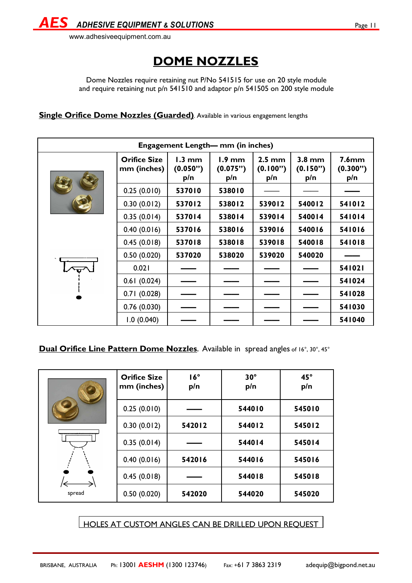

### **DOME NOZZLES**

Dome Nozzles require retaining nut P/No 541515 for use on 20 style module and require retaining nut p/n 541510 and adaptor p/n 541505 on 200 style module

**Single Orifice Dome Nozzles (Guarded)**. Available in various engagement lengths

| Engagement Length— mm (in inches) |                                    |                                     |                                     |                                     |                             |                                      |  |
|-----------------------------------|------------------------------------|-------------------------------------|-------------------------------------|-------------------------------------|-----------------------------|--------------------------------------|--|
|                                   | <b>Orifice Size</b><br>mm (inches) | $1.3 \text{ mm}$<br>(0.050")<br>p/n | $1.9 \text{ mm}$<br>(0.075")<br>p/n | $2.5 \text{ mm}$<br>(0.100")<br>p/n | $3.8$ mm<br>(0.150")<br>p/n | 7.6 <sub>mm</sub><br>(0.300")<br>p/n |  |
|                                   | 0.25(0.010)                        | 537010                              | 538010                              |                                     |                             |                                      |  |
|                                   | 0.30(0.012)                        | 537012                              | 538012                              | 539012                              | 540012                      | 541012                               |  |
|                                   | 0.35(0.014)                        | 537014                              | 538014                              | 539014                              | 540014                      | 541014                               |  |
|                                   | 0.40(0.016)                        | 537016                              | 538016                              | 539016                              | 540016                      | 541016                               |  |
|                                   | 0.45(0.018)                        | 537018                              | 538018                              | 539018                              | 540018                      | 541018                               |  |
|                                   | 0.50(0.020)                        | 537020                              | 538020                              | 539020                              | 540020                      |                                      |  |
|                                   | 0.021                              |                                     |                                     |                                     |                             | 541021                               |  |
|                                   | 0.61(0.024)                        |                                     |                                     |                                     |                             | 541024                               |  |
|                                   | 0.71(0.028)                        |                                     |                                     |                                     |                             | 541028                               |  |
|                                   | 0.76(0.030)                        |                                     |                                     |                                     |                             | 541030                               |  |
|                                   | 1.0(0.040)                         |                                     |                                     |                                     |                             | 541040                               |  |

**Dual Orifice Line Pattern Dome Nozzles**. Available in spread angles of 16°, 30°, 45°

|        | <b>Orifice Size</b><br>mm (inches) | $16^\circ$<br>p/n | $30^\circ$<br>p/n | $45^{\circ}$<br>p/n |
|--------|------------------------------------|-------------------|-------------------|---------------------|
|        | 0.25(0.010)                        |                   | 544010            | 545010              |
|        | 0.30(0.012)                        | 542012            | 544012            | 545012              |
|        | 0.35(0.014)                        |                   | 544014            | 545014              |
|        | 0.40(0.016)                        | 542016            | 544016            | 545016              |
|        | 0.45(0.018)                        |                   | 544018            | 545018              |
| spread | 0.50(0.020)                        | 542020            | 544020            | 545020              |

HOLES AT CUSTOM ANGLES CAN BE DRILLED UPON REQUEST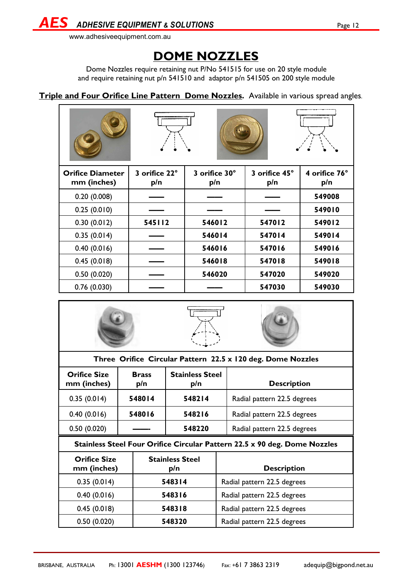*AES ADHESIVE EQUIPMENT & SOLUTIONS* Page 12

www.adhesiveequipment.com.au

### **DOME NOZZLES**

Dome Nozzles require retaining nut P/No 541515 for use on 20 style module and require retaining nut p/n 541510 and adaptor p/n 541505 on 200 style module

#### **Triple and Four Orifice Line Pattern Dome Nozzles.** Available in various spread angles.

| <b>Orifice Diameter</b><br>mm (inches) | 3 orifice 22°<br>p/n | 3 orifice 30°<br>p/n | 3 orifice 45°<br>p/n | 4 orifice 76°<br>p/n |
|----------------------------------------|----------------------|----------------------|----------------------|----------------------|
| 0.20(0.008)                            |                      |                      |                      | 549008               |
| 0.25(0.010)                            |                      |                      |                      | 549010               |
| 0.30(0.012)                            | 545112               | 546012               | 547012               | 549012               |
| 0.35(0.014)                            |                      | 546014               | 547014               | 549014               |
| 0.40(0.016)                            |                      | 546016               | 547016               | 549016               |
| 0.45(0.018)                            |                      | 546018               | 547018               | 549018               |
| 0.50(0.020)                            |                      | 546020               | 547020               | 549020               |
| 0.76(0.030)                            |                      |                      | 547030               | 549030               |



| Three Ornice Circular rattern 22.3 x 120 deg. Donne Nozzies         |                                                                           |                               |                             |  |  |  |
|---------------------------------------------------------------------|---------------------------------------------------------------------------|-------------------------------|-----------------------------|--|--|--|
| <b>Orifice Size</b><br>mm (inches)                                  | <b>Brass</b><br>p/n                                                       | <b>Stainless Steel</b><br>p/n | <b>Description</b>          |  |  |  |
| 0.35(0.014)                                                         | 548014                                                                    | 548214                        | Radial pattern 22.5 degrees |  |  |  |
| 0.40(0.016)                                                         | 548016                                                                    | 548216                        | Radial pattern 22.5 degrees |  |  |  |
| 0.50(0.020)                                                         |                                                                           | 548220                        | Radial pattern 22.5 degrees |  |  |  |
|                                                                     | Stainless Steel Four Orifice Circular Pattern 22.5 x 90 deg. Dome Nozzles |                               |                             |  |  |  |
| <b>Stainless Steel</b><br><b>Orifice Size</b><br>mm (inches)<br>p/n |                                                                           |                               | <b>Description</b>          |  |  |  |
| 0.35(0.014)                                                         | 548314                                                                    |                               | Radial pattern 22.5 degrees |  |  |  |
| 0.40(0.016)                                                         | 548316                                                                    |                               | Radial pattern 22.5 degrees |  |  |  |
| 0.45(0.018)                                                         |                                                                           | 548318                        | Radial pattern 22.5 degrees |  |  |  |
| 0.50(0.020)                                                         |                                                                           | 548320                        | Radial pattern 22.5 degrees |  |  |  |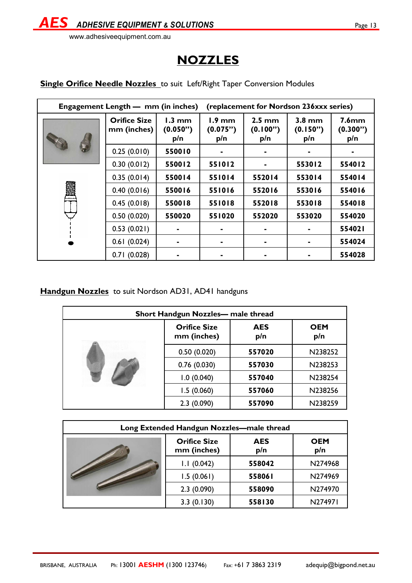

#### www.adhesiveequipment.com.au

# **NOZZLES**

| Engagement Length — mm (in inches) |                                    |                                     | (replacement for Nordson 236xxx series) |                                     |                             |                                      |
|------------------------------------|------------------------------------|-------------------------------------|-----------------------------------------|-------------------------------------|-----------------------------|--------------------------------------|
|                                    | <b>Orifice Size</b><br>mm (inches) | $1.3 \text{ mm}$<br>(0.050")<br>p/n | $1.9 \text{ mm}$<br>(0.075")<br>p/n     | $2.5 \text{ mm}$<br>(0.100")<br>p/n | $3.8$ mm<br>(0.150")<br>p/n | 7.6 <sub>mm</sub><br>(0.300")<br>p/n |
|                                    | 0.25(0.010)                        | 550010                              |                                         |                                     |                             |                                      |
|                                    | 0.30(0.012)                        | 550012                              | 551012                                  |                                     | 553012                      | 554012                               |
|                                    | 0.35(0.014)                        | 550014                              | 551014                                  | 552014                              | 553014                      | 554014                               |
|                                    | 0.40(0.016)                        | 550016                              | 551016                                  | 552016                              | 553016                      | 554016                               |
|                                    | 0.45(0.018)                        | 550018                              | 551018                                  | 552018                              | 553018                      | 554018                               |
|                                    | 0.50(0.020)                        | 550020                              | 551020                                  | 552020                              | 553020                      | 554020                               |
|                                    | 0.53(0.021)                        |                                     |                                         |                                     |                             | 554021                               |
|                                    | 0.61(0.024)                        |                                     |                                         |                                     |                             | 554024                               |
|                                    | 0.71(0.028)                        |                                     |                                         |                                     |                             | 554028                               |

**Single Orifice Needle Nozzles** to suit Left/Right Taper Conversion Modules

#### **Handgun Nozzles** to suit Nordson AD31, AD41 handguns

| Short Handgun Nozzles- male thread |                                                         |        |                   |  |  |
|------------------------------------|---------------------------------------------------------|--------|-------------------|--|--|
|                                    | <b>Orifice Size</b><br><b>AES</b><br>mm (inches)<br>p/n |        | <b>OEM</b><br>p/n |  |  |
|                                    | 0.50(0.020)<br>557020                                   |        | N238252           |  |  |
|                                    | 0.76(0.030)                                             | 557030 | N238253           |  |  |
|                                    | 1.0(0.040)                                              | 557040 | N238254           |  |  |
|                                    | 1.5(0.060)                                              | 557060 | N238256           |  |  |
|                                    | 2.3(0.090)                                              | 557090 | N238259           |  |  |

| Long Extended Handgun Nozzles-male thread |                                                         |        |                   |  |  |
|-------------------------------------------|---------------------------------------------------------|--------|-------------------|--|--|
|                                           | <b>Orifice Size</b><br><b>AES</b><br>mm (inches)<br>p/n |        | <b>OEM</b><br>p/n |  |  |
|                                           | 1.1(0.042)                                              | 558042 | N274968           |  |  |
|                                           | 1.5(0.061)                                              | 558061 | N274969           |  |  |
|                                           | 2.3(0.090)                                              | 558090 | N274970           |  |  |
|                                           | 3.3(0.130)                                              | 558130 | N274971           |  |  |